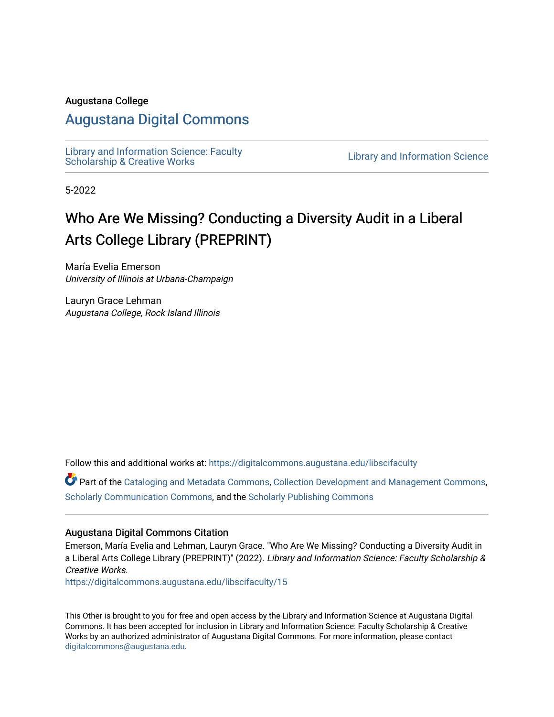#### Augustana College

# [Augustana Digital Commons](https://digitalcommons.augustana.edu/)

Library and Information Science: Faculty<br>Scholarship & Creative Works

Library and Information Science

5-2022

# Who Are We Missing? Conducting a Diversity Audit in a Liberal Arts College Library (PREPRINT)

María Evelia Emerson University of Illinois at Urbana-Champaign

Lauryn Grace Lehman Augustana College, Rock Island Illinois

Follow this and additional works at: [https://digitalcommons.augustana.edu/libscifaculty](https://digitalcommons.augustana.edu/libscifaculty?utm_source=digitalcommons.augustana.edu%2Flibscifaculty%2F15&utm_medium=PDF&utm_campaign=PDFCoverPages)

Part of the [Cataloging and Metadata Commons,](https://network.bepress.com/hgg/discipline/1270?utm_source=digitalcommons.augustana.edu%2Flibscifaculty%2F15&utm_medium=PDF&utm_campaign=PDFCoverPages) [Collection Development and Management Commons,](https://network.bepress.com/hgg/discipline/1271?utm_source=digitalcommons.augustana.edu%2Flibscifaculty%2F15&utm_medium=PDF&utm_campaign=PDFCoverPages) [Scholarly Communication Commons,](https://network.bepress.com/hgg/discipline/1272?utm_source=digitalcommons.augustana.edu%2Flibscifaculty%2F15&utm_medium=PDF&utm_campaign=PDFCoverPages) and the [Scholarly Publishing Commons](https://network.bepress.com/hgg/discipline/1273?utm_source=digitalcommons.augustana.edu%2Flibscifaculty%2F15&utm_medium=PDF&utm_campaign=PDFCoverPages)

#### Augustana Digital Commons Citation

Emerson, María Evelia and Lehman, Lauryn Grace. "Who Are We Missing? Conducting a Diversity Audit in a Liberal Arts College Library (PREPRINT)" (2022). Library and Information Science: Faculty Scholarship & Creative Works.

[https://digitalcommons.augustana.edu/libscifaculty/15](https://digitalcommons.augustana.edu/libscifaculty/15?utm_source=digitalcommons.augustana.edu%2Flibscifaculty%2F15&utm_medium=PDF&utm_campaign=PDFCoverPages) 

This Other is brought to you for free and open access by the Library and Information Science at Augustana Digital Commons. It has been accepted for inclusion in Library and Information Science: Faculty Scholarship & Creative Works by an authorized administrator of Augustana Digital Commons. For more information, please contact [digitalcommons@augustana.edu](mailto:digitalcommons@augustana.edu).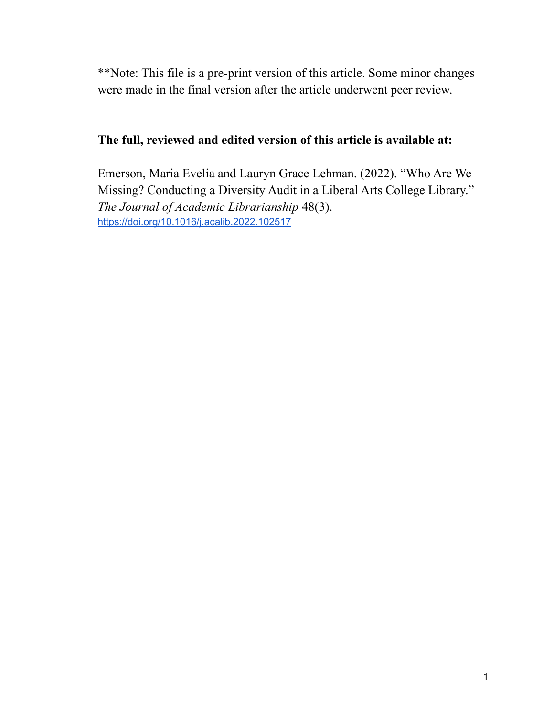\*\*Note: This file is a pre-print version of this article. Some minor changes were made in the final version after the article underwent peer review.

# **The full, reviewed and edited version of this article is available at:**

Emerson, Maria Evelia and Lauryn Grace Lehman. (2022). "Who Are We Missing? Conducting a Diversity Audit in a Liberal Arts College Library." *The Journal of Academic Librarianship* 48(3). <https://doi.org/10.1016/j.acalib.2022.102517>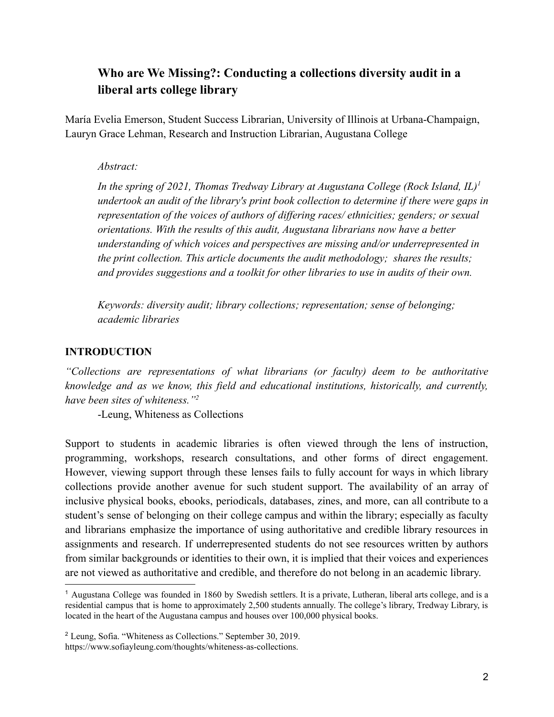# **Who are We Missing?: Conducting a collections diversity audit in a liberal arts college library**

María Evelia Emerson, Student Success Librarian, University of Illinois at Urbana-Champaign, Lauryn Grace Lehman, Research and Instruction Librarian, Augustana College

#### *Abstract:*

*In the spring of 2021, Thomas Tredway Library at Augustana College (Rock Island, IL)<sup>1</sup> undertook an audit of the library's print book collection to determine if there were gaps in representation of the voices of authors of differing races/ ethnicities; genders; or sexual orientations. With the results of this audit, Augustana librarians now have a better understanding of which voices and perspectives are missing and/or underrepresented in the print collection. This article documents the audit methodology; shares the results; and provides suggestions and a toolkit for other libraries to use in audits of their own.*

*Keywords: diversity audit; library collections; representation; sense of belonging; academic libraries*

## **INTRODUCTION**

*"Collections are representations of what librarians (or faculty) deem to be authoritative knowledge and as we know, this field and educational institutions, historically, and currently, have been sites of whiteness."<sup>2</sup>*

-Leung, Whiteness as Collections

Support to students in academic libraries is often viewed through the lens of instruction, programming, workshops, research consultations, and other forms of direct engagement. However, viewing support through these lenses fails to fully account for ways in which library collections provide another avenue for such student support. The availability of an array of inclusive physical books, ebooks, periodicals, databases, zines, and more, can all contribute to a student's sense of belonging on their college campus and within the library; especially as faculty and librarians emphasize the importance of using authoritative and credible library resources in assignments and research. If underrepresented students do not see resources written by authors from similar backgrounds or identities to their own, it is implied that their voices and experiences are not viewed as authoritative and credible, and therefore do not belong in an academic library.

<sup>1</sup> Augustana College was founded in 1860 by Swedish settlers. It is a private, Lutheran, liberal arts college, and is a residential campus that is home to approximately 2,500 students annually. The college's library, Tredway Library, is located in the heart of the Augustana campus and houses over 100,000 physical books.

<sup>2</sup> Leung, Sofia. "Whiteness as Collections." September 30, 2019. https://www.sofiayleung.com/thoughts/whiteness-as-collections.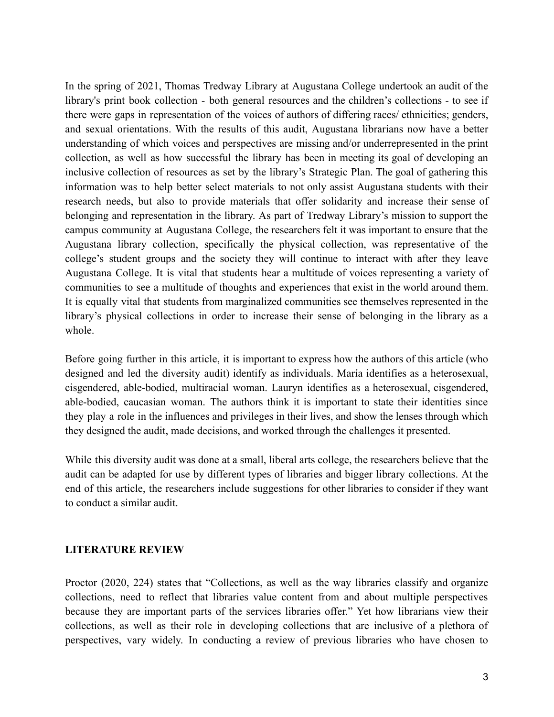In the spring of 2021, Thomas Tredway Library at Augustana College undertook an audit of the library's print book collection - both general resources and the children's collections - to see if there were gaps in representation of the voices of authors of differing races/ ethnicities; genders, and sexual orientations. With the results of this audit, Augustana librarians now have a better understanding of which voices and perspectives are missing and/or underrepresented in the print collection, as well as how successful the library has been in meeting its goal of developing an inclusive collection of resources as set by the library's Strategic Plan. The goal of gathering this information was to help better select materials to not only assist Augustana students with their research needs, but also to provide materials that offer solidarity and increase their sense of belonging and representation in the library. As part of Tredway Library's mission to support the campus community at Augustana College, the researchers felt it was important to ensure that the Augustana library collection, specifically the physical collection, was representative of the college's student groups and the society they will continue to interact with after they leave Augustana College. It is vital that students hear a multitude of voices representing a variety of communities to see a multitude of thoughts and experiences that exist in the world around them. It is equally vital that students from marginalized communities see themselves represented in the library's physical collections in order to increase their sense of belonging in the library as a whole.

Before going further in this article, it is important to express how the authors of this article (who designed and led the diversity audit) identify as individuals. María identifies as a heterosexual, cisgendered, able-bodied, multiracial woman. Lauryn identifies as a heterosexual, cisgendered, able-bodied, caucasian woman. The authors think it is important to state their identities since they play a role in the influences and privileges in their lives, and show the lenses through which they designed the audit, made decisions, and worked through the challenges it presented.

While this diversity audit was done at a small, liberal arts college, the researchers believe that the audit can be adapted for use by different types of libraries and bigger library collections. At the end of this article, the researchers include suggestions for other libraries to consider if they want to conduct a similar audit.

#### **LITERATURE REVIEW**

Proctor (2020, 224) states that "Collections, as well as the way libraries classify and organize collections, need to reflect that libraries value content from and about multiple perspectives because they are important parts of the services libraries offer." Yet how librarians view their collections, as well as their role in developing collections that are inclusive of a plethora of perspectives, vary widely. In conducting a review of previous libraries who have chosen to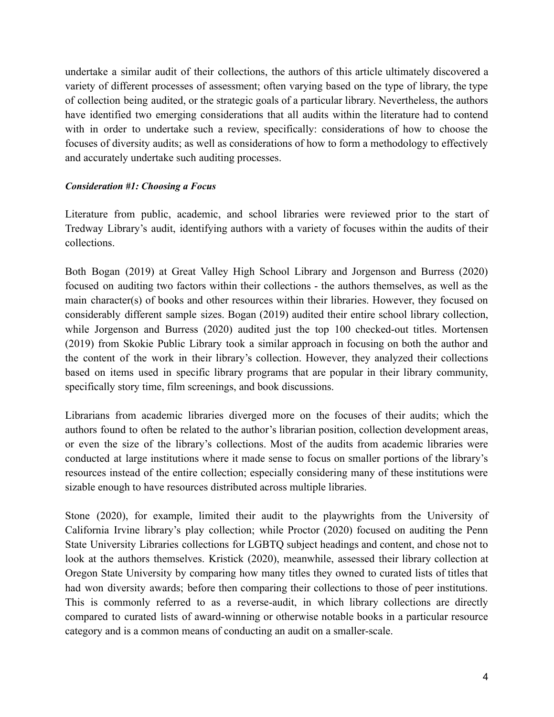undertake a similar audit of their collections, the authors of this article ultimately discovered a variety of different processes of assessment; often varying based on the type of library, the type of collection being audited, or the strategic goals of a particular library. Nevertheless, the authors have identified two emerging considerations that all audits within the literature had to contend with in order to undertake such a review, specifically: considerations of how to choose the focuses of diversity audits; as well as considerations of how to form a methodology to effectively and accurately undertake such auditing processes.

#### *Consideration #1: Choosing a Focus*

Literature from public, academic, and school libraries were reviewed prior to the start of Tredway Library's audit, identifying authors with a variety of focuses within the audits of their collections.

Both Bogan (2019) at Great Valley High School Library and Jorgenson and Burress (2020) focused on auditing two factors within their collections - the authors themselves, as well as the main character(s) of books and other resources within their libraries. However, they focused on considerably different sample sizes. Bogan (2019) audited their entire school library collection, while Jorgenson and Burress (2020) audited just the top 100 checked-out titles. Mortensen (2019) from Skokie Public Library took a similar approach in focusing on both the author and the content of the work in their library's collection. However, they analyzed their collections based on items used in specific library programs that are popular in their library community, specifically story time, film screenings, and book discussions.

Librarians from academic libraries diverged more on the focuses of their audits; which the authors found to often be related to the author's librarian position, collection development areas, or even the size of the library's collections. Most of the audits from academic libraries were conducted at large institutions where it made sense to focus on smaller portions of the library's resources instead of the entire collection; especially considering many of these institutions were sizable enough to have resources distributed across multiple libraries.

Stone (2020), for example, limited their audit to the playwrights from the University of California Irvine library's play collection; while Proctor (2020) focused on auditing the Penn State University Libraries collections for LGBTQ subject headings and content, and chose not to look at the authors themselves. Kristick (2020), meanwhile, assessed their library collection at Oregon State University by comparing how many titles they owned to curated lists of titles that had won diversity awards; before then comparing their collections to those of peer institutions. This is commonly referred to as a reverse-audit, in which library collections are directly compared to curated lists of award-winning or otherwise notable books in a particular resource category and is a common means of conducting an audit on a smaller-scale.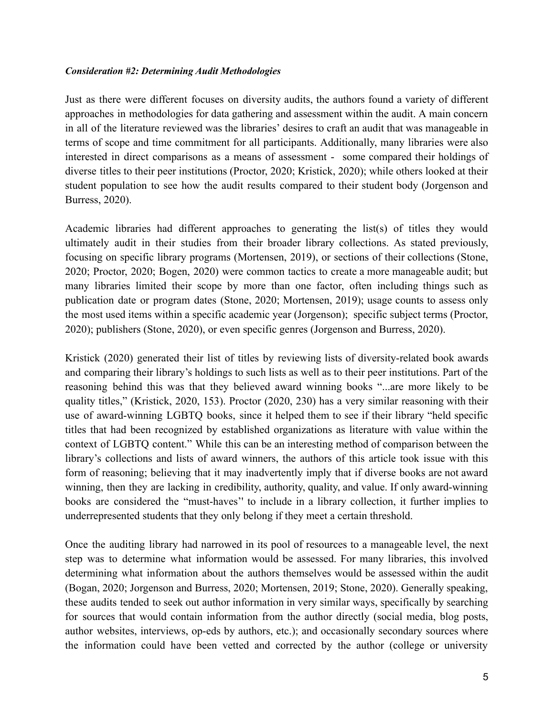#### *Consideration #2: Determining Audit Methodologies*

Just as there were different focuses on diversity audits, the authors found a variety of different approaches in methodologies for data gathering and assessment within the audit. A main concern in all of the literature reviewed was the libraries' desires to craft an audit that was manageable in terms of scope and time commitment for all participants. Additionally, many libraries were also interested in direct comparisons as a means of assessment - some compared their holdings of diverse titles to their peer institutions (Proctor, 2020; Kristick, 2020); while others looked at their student population to see how the audit results compared to their student body (Jorgenson and Burress, 2020).

Academic libraries had different approaches to generating the list(s) of titles they would ultimately audit in their studies from their broader library collections. As stated previously, focusing on specific library programs (Mortensen, 2019), or sections of their collections (Stone, 2020; Proctor, 2020; Bogen, 2020) were common tactics to create a more manageable audit; but many libraries limited their scope by more than one factor, often including things such as publication date or program dates (Stone, 2020; Mortensen, 2019); usage counts to assess only the most used items within a specific academic year (Jorgenson); specific subject terms (Proctor, 2020); publishers (Stone, 2020), or even specific genres (Jorgenson and Burress, 2020).

Kristick (2020) generated their list of titles by reviewing lists of diversity-related book awards and comparing their library's holdings to such lists as well as to their peer institutions. Part of the reasoning behind this was that they believed award winning books "...are more likely to be quality titles," (Kristick, 2020, 153). Proctor (2020, 230) has a very similar reasoning with their use of award-winning LGBTQ books, since it helped them to see if their library "held specific titles that had been recognized by established organizations as literature with value within the context of LGBTQ content." While this can be an interesting method of comparison between the library's collections and lists of award winners, the authors of this article took issue with this form of reasoning; believing that it may inadvertently imply that if diverse books are not award winning, then they are lacking in credibility, authority, quality, and value. If only award-winning books are considered the "must-haves'' to include in a library collection, it further implies to underrepresented students that they only belong if they meet a certain threshold.

Once the auditing library had narrowed in its pool of resources to a manageable level, the next step was to determine what information would be assessed. For many libraries, this involved determining what information about the authors themselves would be assessed within the audit (Bogan, 2020; Jorgenson and Burress, 2020; Mortensen, 2019; Stone, 2020). Generally speaking, these audits tended to seek out author information in very similar ways, specifically by searching for sources that would contain information from the author directly (social media, blog posts, author websites, interviews, op-eds by authors, etc.); and occasionally secondary sources where the information could have been vetted and corrected by the author (college or university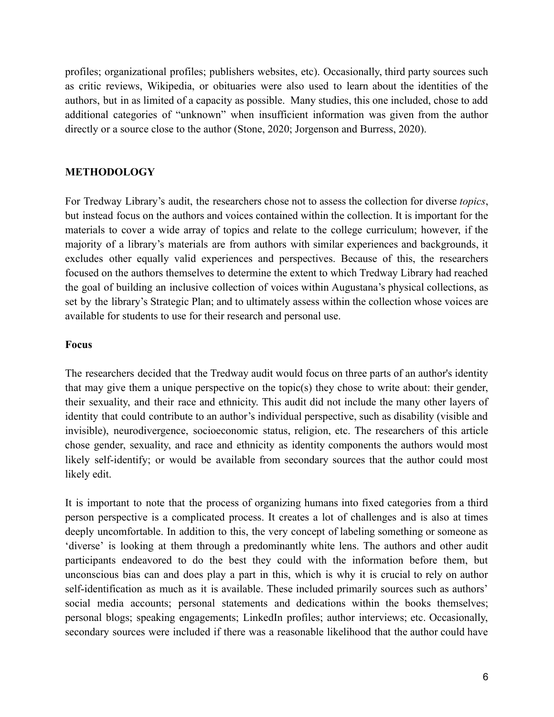profiles; organizational profiles; publishers websites, etc). Occasionally, third party sources such as critic reviews, Wikipedia, or obituaries were also used to learn about the identities of the authors, but in as limited of a capacity as possible. Many studies, this one included, chose to add additional categories of "unknown" when insufficient information was given from the author directly or a source close to the author (Stone, 2020; Jorgenson and Burress, 2020).

#### **METHODOLOGY**

For Tredway Library's audit, the researchers chose not to assess the collection for diverse *topics*, but instead focus on the authors and voices contained within the collection. It is important for the materials to cover a wide array of topics and relate to the college curriculum; however, if the majority of a library's materials are from authors with similar experiences and backgrounds, it excludes other equally valid experiences and perspectives. Because of this, the researchers focused on the authors themselves to determine the extent to which Tredway Library had reached the goal of building an inclusive collection of voices within Augustana's physical collections, as set by the library's Strategic Plan; and to ultimately assess within the collection whose voices are available for students to use for their research and personal use.

#### **Focus**

The researchers decided that the Tredway audit would focus on three parts of an author's identity that may give them a unique perspective on the topic(s) they chose to write about: their gender, their sexuality, and their race and ethnicity. This audit did not include the many other layers of identity that could contribute to an author's individual perspective, such as disability (visible and invisible), neurodivergence, socioeconomic status, religion, etc. The researchers of this article chose gender, sexuality, and race and ethnicity as identity components the authors would most likely self-identify; or would be available from secondary sources that the author could most likely edit.

It is important to note that the process of organizing humans into fixed categories from a third person perspective is a complicated process. It creates a lot of challenges and is also at times deeply uncomfortable. In addition to this, the very concept of labeling something or someone as 'diverse' is looking at them through a predominantly white lens. The authors and other audit participants endeavored to do the best they could with the information before them, but unconscious bias can and does play a part in this, which is why it is crucial to rely on author self-identification as much as it is available. These included primarily sources such as authors' social media accounts; personal statements and dedications within the books themselves; personal blogs; speaking engagements; LinkedIn profiles; author interviews; etc. Occasionally, secondary sources were included if there was a reasonable likelihood that the author could have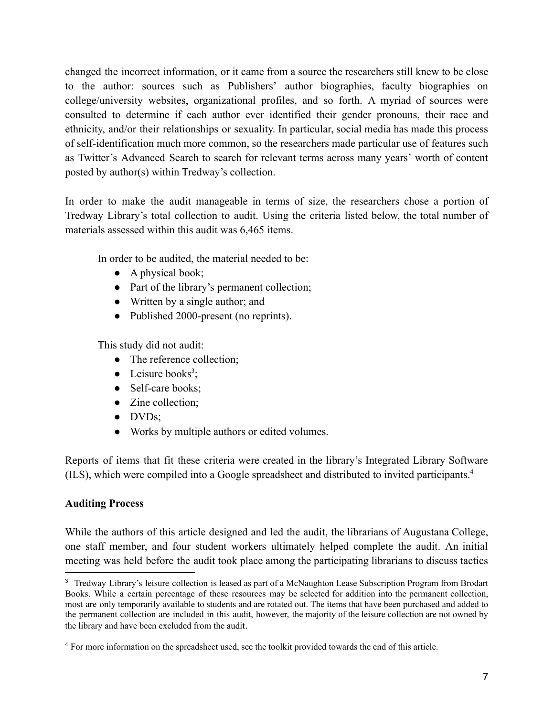changed the incorrect information, or it came from a source the researchers still knew to be close to the author: sources such as Publishers' author biographies, faculty biographies on college/university websites, organizational profiles, and so forth. A myriad of sources were consulted to determine if each author ever identified their gender pronouns, their race and ethnicity, and/or their relationships or sexuality. In particular, social media has made this process of self-identification much more common, so the researchers made particular use of features such as Twitter's Advanced Search to search for relevant terms across many years' worth of content posted by author(s) within Tredway's collection.

In order to make the audit manageable in terms of size, the researchers chose a portion of Tredway Library's total collection to audit. Using the criteria listed below, the total number of materials assessed within this audit was 6,465 items.

In order to be audited, the material needed to be:

- $\bullet$  A physical book;
- Part of the library's permanent collection;
- Written by a single author; and
- Published 2000-present (no reprints).

This study did not audit:

- The reference collection;
- $\bullet$  Leisure books<sup>3</sup>;
- Self-care books;
- Zine collection;
- DVDs;
- Works by multiple authors or edited volumes.

Reports of items that fit these criteria were created in the library's Integrated Library Software (ILS), which were compiled into a Google spreadsheet and distributed to invited participants.<sup>4</sup>

# **Auditing Process**

While the authors of this article designed and led the audit, the librarians of Augustana College, one staff member, and four student workers ultimately helped complete the audit. An initial meeting was held before the audit took place among the participating librarians to discuss tactics

<sup>&</sup>lt;sup>3</sup> Tredway Library's leisure collection is leased as part of a McNaughton Lease Subscription Program from Brodart Books. While a certain percentage of these resources may be selected for addition into the permanent collection, most are only temporarily available to students and are rotated out. The items that have been purchased and added to the permanent collection are included in this audit, however, the majority of the leisure collection are not owned by the library and have been excluded from the audit.

<sup>4</sup> For more information on the spreadsheet used, see the toolkit provided towards the end of this article.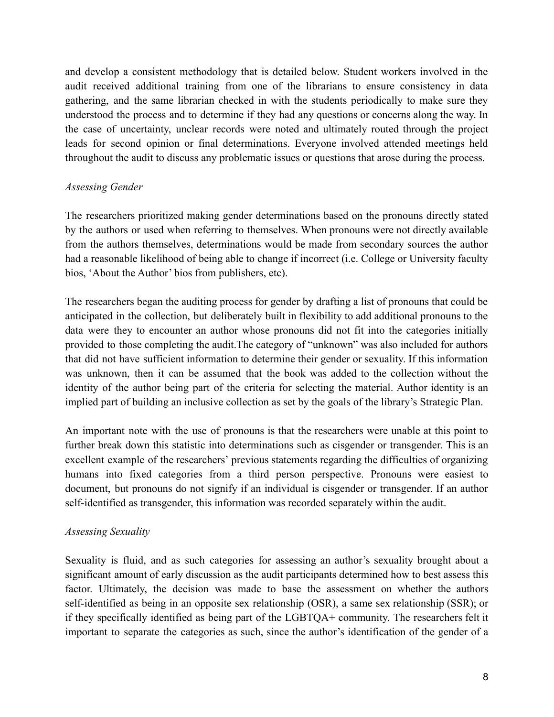and develop a consistent methodology that is detailed below. Student workers involved in the audit received additional training from one of the librarians to ensure consistency in data gathering, and the same librarian checked in with the students periodically to make sure they understood the process and to determine if they had any questions or concerns along the way. In the case of uncertainty, unclear records were noted and ultimately routed through the project leads for second opinion or final determinations. Everyone involved attended meetings held throughout the audit to discuss any problematic issues or questions that arose during the process.

## *Assessing Gender*

The researchers prioritized making gender determinations based on the pronouns directly stated by the authors or used when referring to themselves. When pronouns were not directly available from the authors themselves, determinations would be made from secondary sources the author had a reasonable likelihood of being able to change if incorrect (i.e. College or University faculty bios, 'About the Author' bios from publishers, etc).

The researchers began the auditing process for gender by drafting a list of pronouns that could be anticipated in the collection, but deliberately built in flexibility to add additional pronouns to the data were they to encounter an author whose pronouns did not fit into the categories initially provided to those completing the audit.The category of "unknown" was also included for authors that did not have sufficient information to determine their gender or sexuality. If this information was unknown, then it can be assumed that the book was added to the collection without the identity of the author being part of the criteria for selecting the material. Author identity is an implied part of building an inclusive collection as set by the goals of the library's Strategic Plan.

An important note with the use of pronouns is that the researchers were unable at this point to further break down this statistic into determinations such as cisgender or transgender. This is an excellent example of the researchers' previous statements regarding the difficulties of organizing humans into fixed categories from a third person perspective. Pronouns were easiest to document, but pronouns do not signify if an individual is cisgender or transgender. If an author self-identified as transgender, this information was recorded separately within the audit.

#### *Assessing Sexuality*

Sexuality is fluid, and as such categories for assessing an author's sexuality brought about a significant amount of early discussion as the audit participants determined how to best assess this factor. Ultimately, the decision was made to base the assessment on whether the authors self-identified as being in an opposite sex relationship (OSR), a same sex relationship (SSR); or if they specifically identified as being part of the LGBTQA+ community. The researchers felt it important to separate the categories as such, since the author's identification of the gender of a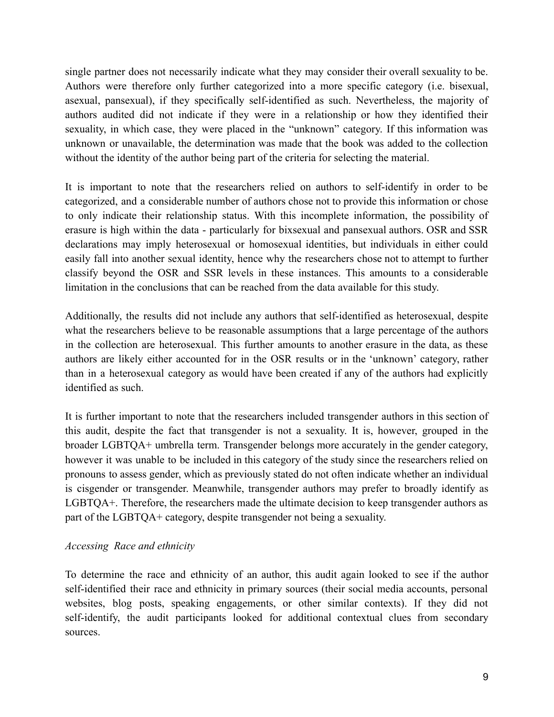single partner does not necessarily indicate what they may consider their overall sexuality to be. Authors were therefore only further categorized into a more specific category (i.e. bisexual, asexual, pansexual), if they specifically self-identified as such. Nevertheless, the majority of authors audited did not indicate if they were in a relationship or how they identified their sexuality, in which case, they were placed in the "unknown" category. If this information was unknown or unavailable, the determination was made that the book was added to the collection without the identity of the author being part of the criteria for selecting the material.

It is important to note that the researchers relied on authors to self-identify in order to be categorized, and a considerable number of authors chose not to provide this information or chose to only indicate their relationship status. With this incomplete information, the possibility of erasure is high within the data - particularly for bixsexual and pansexual authors. OSR and SSR declarations may imply heterosexual or homosexual identities, but individuals in either could easily fall into another sexual identity, hence why the researchers chose not to attempt to further classify beyond the OSR and SSR levels in these instances. This amounts to a considerable limitation in the conclusions that can be reached from the data available for this study.

Additionally, the results did not include any authors that self-identified as heterosexual, despite what the researchers believe to be reasonable assumptions that a large percentage of the authors in the collection are heterosexual. This further amounts to another erasure in the data, as these authors are likely either accounted for in the OSR results or in the 'unknown' category, rather than in a heterosexual category as would have been created if any of the authors had explicitly identified as such.

It is further important to note that the researchers included transgender authors in this section of this audit, despite the fact that transgender is not a sexuality. It is, however, grouped in the broader LGBTQA+ umbrella term. Transgender belongs more accurately in the gender category, however it was unable to be included in this category of the study since the researchers relied on pronouns to assess gender, which as previously stated do not often indicate whether an individual is cisgender or transgender. Meanwhile, transgender authors may prefer to broadly identify as LGBTQA+. Therefore, the researchers made the ultimate decision to keep transgender authors as part of the LGBTQA+ category, despite transgender not being a sexuality.

#### *Accessing Race and ethnicity*

To determine the race and ethnicity of an author, this audit again looked to see if the author self-identified their race and ethnicity in primary sources (their social media accounts, personal websites, blog posts, speaking engagements, or other similar contexts). If they did not self-identify, the audit participants looked for additional contextual clues from secondary sources.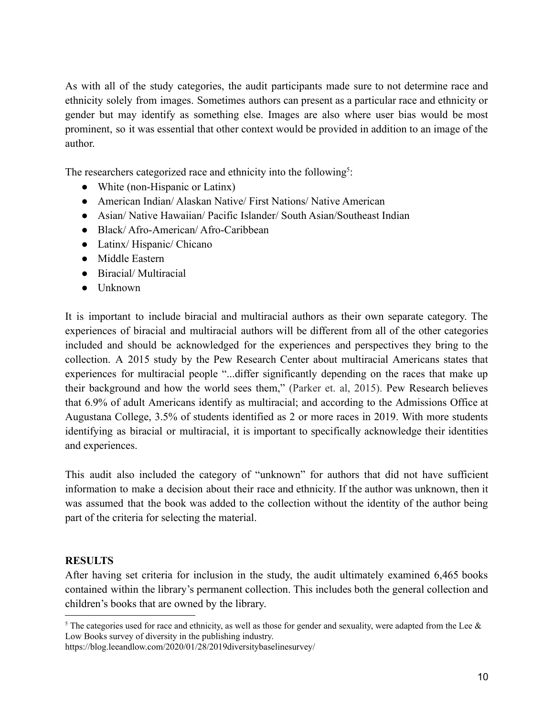As with all of the study categories, the audit participants made sure to not determine race and ethnicity solely from images. Sometimes authors can present as a particular race and ethnicity or gender but may identify as something else. Images are also where user bias would be most prominent, so it was essential that other context would be provided in addition to an image of the author.

The researchers categorized race and ethnicity into the following<sup>5</sup>:

- White (non-Hispanic or Latinx)
- American Indian/ Alaskan Native/ First Nations/ Native American
- Asian/ Native Hawaiian/ Pacific Islander/ South Asian/Southeast Indian
- Black/ Afro-American/ Afro-Caribbean
- Latinx/ Hispanic/ Chicano
- Middle Eastern
- Biracial/ Multiracial
- Unknown

It is important to include biracial and multiracial authors as their own separate category. The experiences of biracial and multiracial authors will be different from all of the other categories included and should be acknowledged for the experiences and perspectives they bring to the collection. A 2015 study by the Pew Research Center about multiracial Americans states that experiences for multiracial people "...differ significantly depending on the races that make up their background and how the world sees them," (Parker et. al, 2015). Pew Research believes that 6.9% of adult Americans identify as multiracial; and according to the Admissions Office at Augustana College, 3.5% of students identified as 2 or more races in 2019. With more students identifying as biracial or multiracial, it is important to specifically acknowledge their identities and experiences.

This audit also included the category of "unknown" for authors that did not have sufficient information to make a decision about their race and ethnicity. If the author was unknown, then it was assumed that the book was added to the collection without the identity of the author being part of the criteria for selecting the material.

#### **RESULTS**

After having set criteria for inclusion in the study, the audit ultimately examined 6,465 books contained within the library's permanent collection. This includes both the general collection and children's books that are owned by the library.

<sup>&</sup>lt;sup>5</sup> The categories used for race and ethnicity, as well as those for gender and sexuality, were adapted from the Lee  $\&$ Low Books survey of diversity in the publishing industry.

https://blog.leeandlow.com/2020/01/28/2019diversitybaselinesurvey/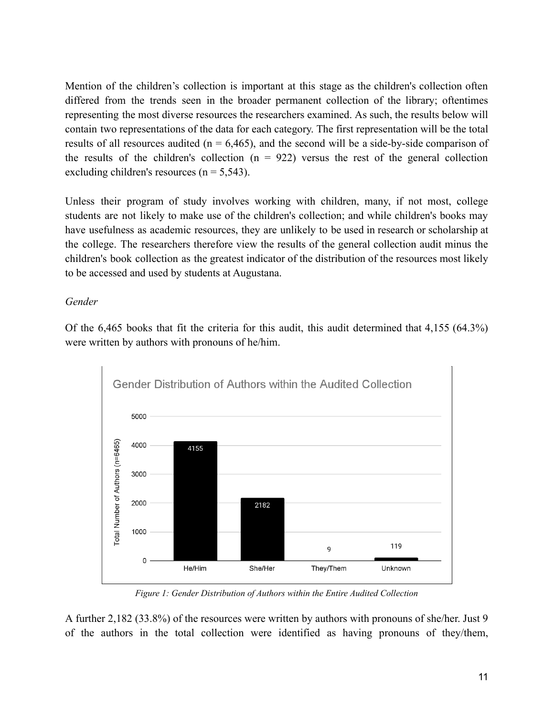Mention of the children's collection is important at this stage as the children's collection often differed from the trends seen in the broader permanent collection of the library; oftentimes representing the most diverse resources the researchers examined. As such, the results below will contain two representations of the data for each category. The first representation will be the total results of all resources audited ( $n = 6,465$ ), and the second will be a side-by-side comparison of the results of the children's collection  $(n = 922)$  versus the rest of the general collection excluding children's resources  $(n = 5,543)$ .

Unless their program of study involves working with children, many, if not most, college students are not likely to make use of the children's collection; and while children's books may have usefulness as academic resources, they are unlikely to be used in research or scholarship at the college. The researchers therefore view the results of the general collection audit minus the children's book collection as the greatest indicator of the distribution of the resources most likely to be accessed and used by students at Augustana.

*Gender*

Of the 6,465 books that fit the criteria for this audit, this audit determined that 4,155 (64.3%) were written by authors with pronouns of he/him.



*Figure 1: Gender Distribution of Authors within the Entire Audited Collection*

A further 2,182 (33.8%) of the resources were written by authors with pronouns of she/her. Just 9 of the authors in the total collection were identified as having pronouns of they/them,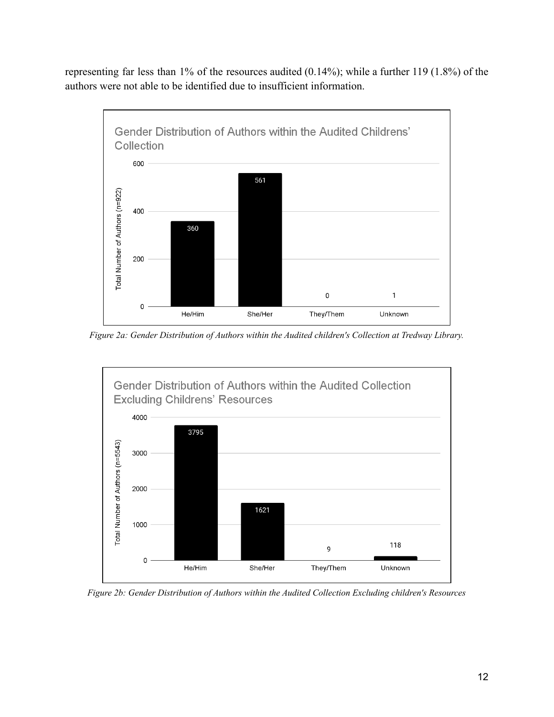representing far less than 1% of the resources audited (0.14%); while a further 119 (1.8%) of the authors were not able to be identified due to insufficient information.



*Figure 2a: Gender Distribution of Authors within the Audited children's Collection at Tredway Library.*



*Figure 2b: Gender Distribution of Authors within the Audited Collection Excluding children's Resources*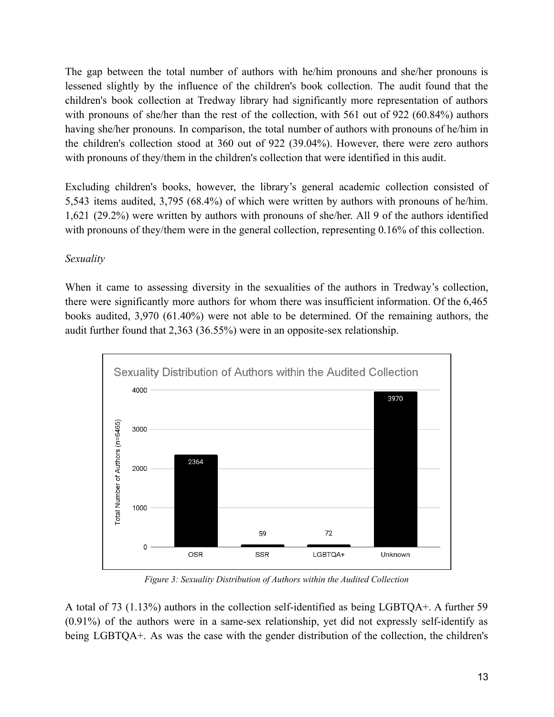The gap between the total number of authors with he/him pronouns and she/her pronouns is lessened slightly by the influence of the children's book collection. The audit found that the children's book collection at Tredway library had significantly more representation of authors with pronouns of she/her than the rest of the collection, with 561 out of 922 (60.84%) authors having she/her pronouns. In comparison, the total number of authors with pronouns of he/him in the children's collection stood at 360 out of 922 (39.04%). However, there were zero authors with pronouns of they/them in the children's collection that were identified in this audit.

Excluding children's books, however, the library's general academic collection consisted of 5,543 items audited, 3,795 (68.4%) of which were written by authors with pronouns of he/him. 1,621 (29.2%) were written by authors with pronouns of she/her. All 9 of the authors identified with pronouns of they/them were in the general collection, representing 0.16% of this collection.

## *Sexuality*

When it came to assessing diversity in the sexualities of the authors in Tredway's collection, there were significantly more authors for whom there was insufficient information. Of the 6,465 books audited, 3,970 (61.40%) were not able to be determined. Of the remaining authors, the audit further found that 2,363 (36.55%) were in an opposite-sex relationship.



*Figure 3: Sexuality Distribution of Authors within the Audited Collection*

A total of 73 (1.13%) authors in the collection self-identified as being LGBTQA+. A further 59 (0.91%) of the authors were in a same-sex relationship, yet did not expressly self-identify as being LGBTQA+. As was the case with the gender distribution of the collection, the children's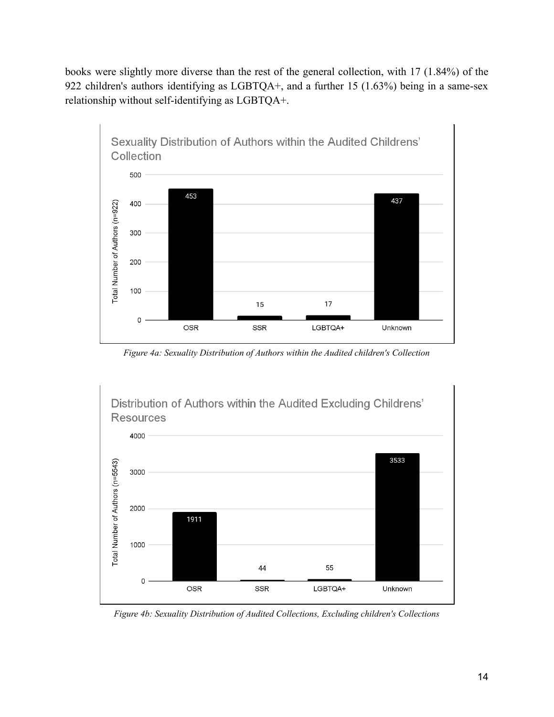books were slightly more diverse than the rest of the general collection, with 17 (1.84%) of the 922 children's authors identifying as LGBTQA+, and a further 15 (1.63%) being in a same-sex relationship without self-identifying as LGBTQA+.



*Figure 4a: Sexuality Distribution of Authors within the Audited children's Collection*

Distribution of Authors within the Audited Excluding Childrens' **Resources** 



*Figure 4b: Sexuality Distribution of Audited Collections, Excluding children's Collections*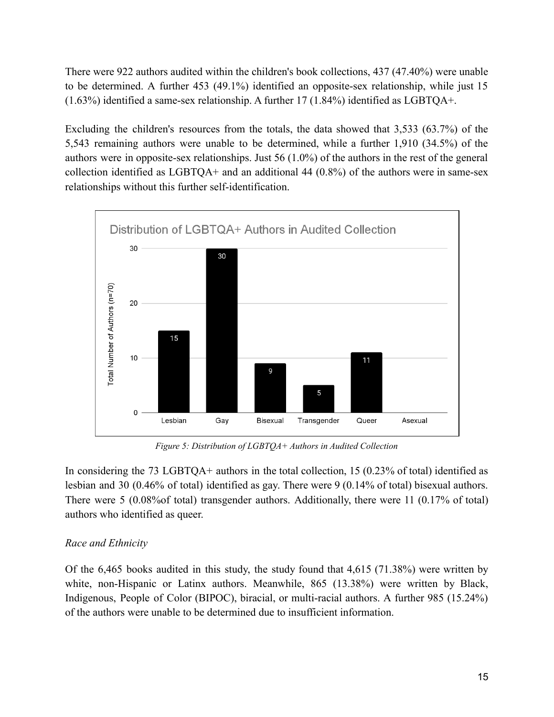There were 922 authors audited within the children's book collections, 437 (47.40%) were unable to be determined. A further 453 (49.1%) identified an opposite-sex relationship, while just 15 (1.63%) identified a same-sex relationship. A further 17 (1.84%) identified as LGBTQA+.

Excluding the children's resources from the totals, the data showed that 3,533 (63.7%) of the 5,543 remaining authors were unable to be determined, while a further 1,910 (34.5%) of the authors were in opposite-sex relationships. Just 56 (1.0%) of the authors in the rest of the general collection identified as  $LGBTQA+$  and an additional 44 (0.8%) of the authors were in same-sex relationships without this further self-identification.



*Figure 5: Distribution of LGBTQA+ Authors in Audited Collection*

In considering the 73 LGBTQA+ authors in the total collection, 15 (0.23% of total) identified as lesbian and 30 (0.46% of total) identified as gay. There were 9 (0.14% of total) bisexual authors. There were 5 (0.08% of total) transgender authors. Additionally, there were 11 (0.17% of total) authors who identified as queer.

#### *Race and Ethnicity*

Of the 6,465 books audited in this study, the study found that 4,615 (71.38%) were written by white, non-Hispanic or Latinx authors. Meanwhile, 865 (13.38%) were written by Black, Indigenous, People of Color (BIPOC), biracial, or multi-racial authors. A further 985 (15.24%) of the authors were unable to be determined due to insufficient information.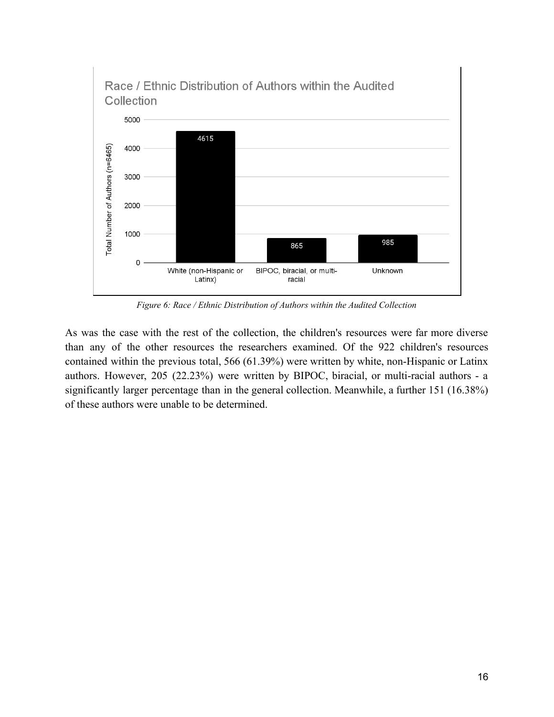

*Figure 6: Race / Ethnic Distribution of Authors within the Audited Collection*

As was the case with the rest of the collection, the children's resources were far more diverse than any of the other resources the researchers examined. Of the 922 children's resources contained within the previous total, 566 (61.39%) were written by white, non-Hispanic or Latinx authors. However, 205 (22.23%) were written by BIPOC, biracial, or multi-racial authors - a significantly larger percentage than in the general collection. Meanwhile, a further 151 (16.38%) of these authors were unable to be determined.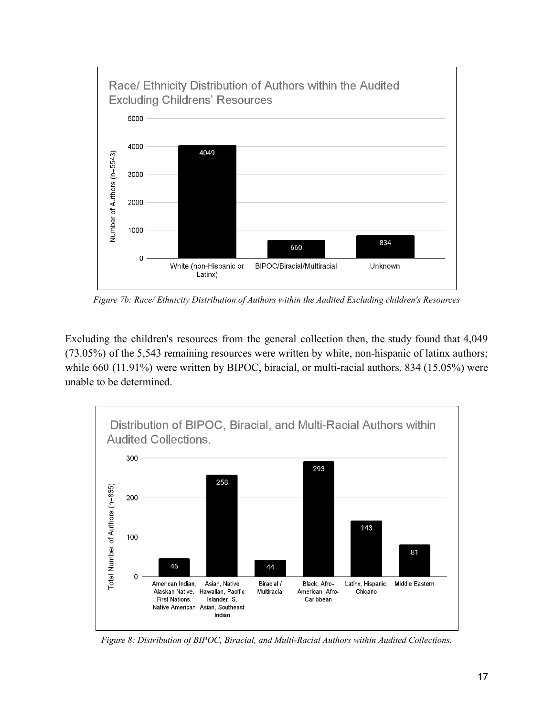

*Figure 7b: Race/ Ethnicity Distribution of Authors within the Audited Excluding children's Resources*

Excluding the children's resources from the general collection then, the study found that 4,049 (73.05%) of the 5,543 remaining resources were written by white, non-hispanic of latinx authors; while 660 (11.91%) were written by BIPOC, biracial, or multi-racial authors. 834 (15.05%) were unable to be determined.



*Figure 8: Distribution of BIPOC, Biracial, and Multi-Racial Authors within Audited Collections.*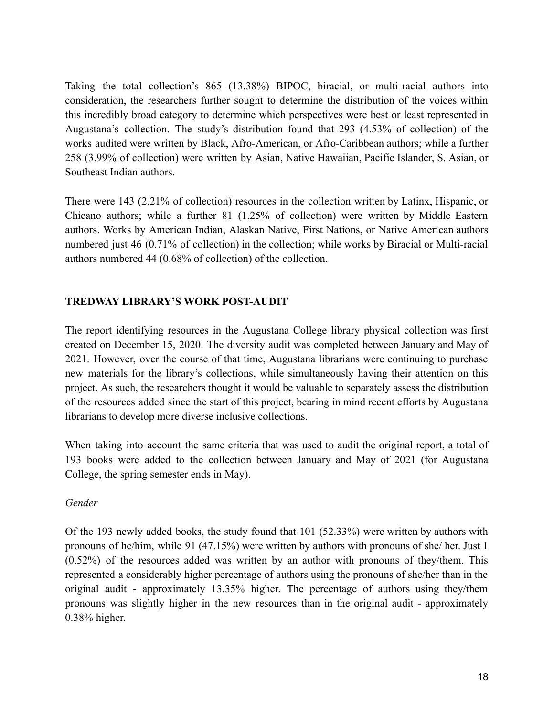Taking the total collection's 865 (13.38%) BIPOC, biracial, or multi-racial authors into consideration, the researchers further sought to determine the distribution of the voices within this incredibly broad category to determine which perspectives were best or least represented in Augustana's collection. The study's distribution found that 293 (4.53% of collection) of the works audited were written by Black, Afro-American, or Afro-Caribbean authors; while a further 258 (3.99% of collection) were written by Asian, Native Hawaiian, Pacific Islander, S. Asian, or Southeast Indian authors.

There were 143 (2.21% of collection) resources in the collection written by Latinx, Hispanic, or Chicano authors; while a further 81 (1.25% of collection) were written by Middle Eastern authors. Works by American Indian, Alaskan Native, First Nations, or Native American authors numbered just 46 (0.71% of collection) in the collection; while works by Biracial or Multi-racial authors numbered 44 (0.68% of collection) of the collection.

# **TREDWAY LIBRARY'S WORK POST-AUDIT**

The report identifying resources in the Augustana College library physical collection was first created on December 15, 2020. The diversity audit was completed between January and May of 2021. However, over the course of that time, Augustana librarians were continuing to purchase new materials for the library's collections, while simultaneously having their attention on this project. As such, the researchers thought it would be valuable to separately assess the distribution of the resources added since the start of this project, bearing in mind recent efforts by Augustana librarians to develop more diverse inclusive collections.

When taking into account the same criteria that was used to audit the original report, a total of 193 books were added to the collection between January and May of 2021 (for Augustana College, the spring semester ends in May).

#### *Gender*

Of the 193 newly added books, the study found that 101 (52.33%) were written by authors with pronouns of he/him, while 91 (47.15%) were written by authors with pronouns of she/ her. Just 1 (0.52%) of the resources added was written by an author with pronouns of they/them. This represented a considerably higher percentage of authors using the pronouns of she/her than in the original audit - approximately 13.35% higher. The percentage of authors using they/them pronouns was slightly higher in the new resources than in the original audit - approximately 0.38% higher.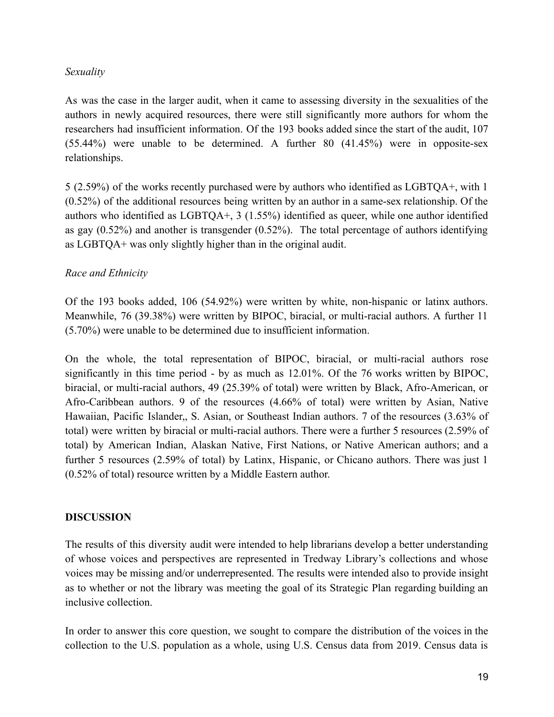#### *Sexuality*

As was the case in the larger audit, when it came to assessing diversity in the sexualities of the authors in newly acquired resources, there were still significantly more authors for whom the researchers had insufficient information. Of the 193 books added since the start of the audit, 107 (55.44%) were unable to be determined. A further 80 (41.45%) were in opposite-sex relationships.

5 (2.59%) of the works recently purchased were by authors who identified as LGBTQA+, with 1 (0.52%) of the additional resources being written by an author in a same-sex relationship. Of the authors who identified as LGBTQA+, 3 (1.55%) identified as queer, while one author identified as gay (0.52%) and another is transgender (0.52%). The total percentage of authors identifying as LGBTQA+ was only slightly higher than in the original audit.

#### *Race and Ethnicity*

Of the 193 books added, 106 (54.92%) were written by white, non-hispanic or latinx authors. Meanwhile, 76 (39.38%) were written by BIPOC, biracial, or multi-racial authors. A further 11 (5.70%) were unable to be determined due to insufficient information.

On the whole, the total representation of BIPOC, biracial, or multi-racial authors rose significantly in this time period - by as much as 12.01%. Of the 76 works written by BIPOC, biracial, or multi-racial authors, 49 (25.39% of total) were written by Black, Afro-American, or Afro-Caribbean authors. 9 of the resources (4.66% of total) were written by Asian, Native Hawaiian, Pacific Islander,, S. Asian, or Southeast Indian authors. 7 of the resources (3.63% of total) were written by biracial or multi-racial authors. There were a further 5 resources (2.59% of total) by American Indian, Alaskan Native, First Nations, or Native American authors; and a further 5 resources (2.59% of total) by Latinx, Hispanic, or Chicano authors. There was just 1 (0.52% of total) resource written by a Middle Eastern author.

#### **DISCUSSION**

The results of this diversity audit were intended to help librarians develop a better understanding of whose voices and perspectives are represented in Tredway Library's collections and whose voices may be missing and/or underrepresented. The results were intended also to provide insight as to whether or not the library was meeting the goal of its Strategic Plan regarding building an inclusive collection.

In order to answer this core question, we sought to compare the distribution of the voices in the collection to the U.S. population as a whole, using U.S. Census data from 2019. Census data is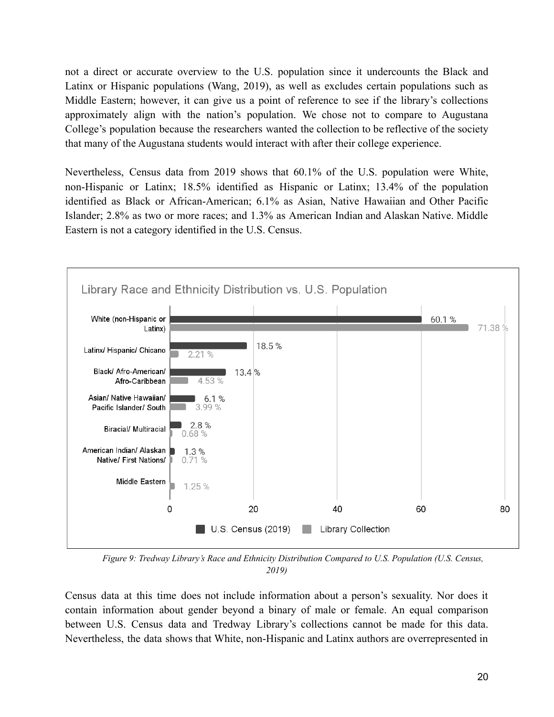not a direct or accurate overview to the U.S. population since it undercounts the Black and Latinx or Hispanic populations (Wang, 2019), as well as excludes certain populations such as Middle Eastern; however, it can give us a point of reference to see if the library's collections approximately align with the nation's population. We chose not to compare to Augustana College's population because the researchers wanted the collection to be reflective of the society that many of the Augustana students would interact with after their college experience.

Nevertheless, Census data from 2019 shows that 60.1% of the U.S. population were White, non-Hispanic or Latinx; 18.5% identified as Hispanic or Latinx; 13.4% of the population identified as Black or African-American; 6.1% as Asian, Native Hawaiian and Other Pacific Islander; 2.8% as two or more races; and 1.3% as American Indian and Alaskan Native. Middle Eastern is not a category identified in the U.S. Census.



*Figure 9: Tredway Library's Race and Ethnicity Distribution Compared to U.S. Population (U.S. Census, 2019)*

Census data at this time does not include information about a person's sexuality. Nor does it contain information about gender beyond a binary of male or female. An equal comparison between U.S. Census data and Tredway Library's collections cannot be made for this data. Nevertheless, the data shows that White, non-Hispanic and Latinx authors are overrepresented in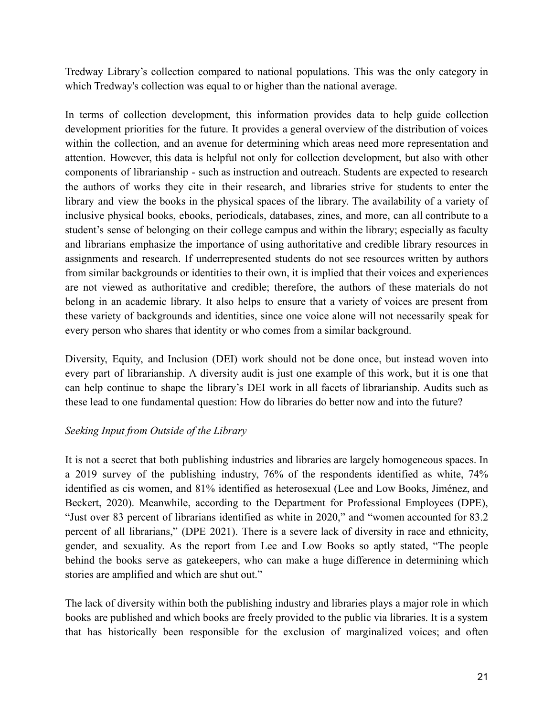Tredway Library's collection compared to national populations. This was the only category in which Tredway's collection was equal to or higher than the national average.

In terms of collection development, this information provides data to help guide collection development priorities for the future. It provides a general overview of the distribution of voices within the collection, and an avenue for determining which areas need more representation and attention. However, this data is helpful not only for collection development, but also with other components of librarianship - such as instruction and outreach. Students are expected to research the authors of works they cite in their research, and libraries strive for students to enter the library and view the books in the physical spaces of the library. The availability of a variety of inclusive physical books, ebooks, periodicals, databases, zines, and more, can all contribute to a student's sense of belonging on their college campus and within the library; especially as faculty and librarians emphasize the importance of using authoritative and credible library resources in assignments and research. If underrepresented students do not see resources written by authors from similar backgrounds or identities to their own, it is implied that their voices and experiences are not viewed as authoritative and credible; therefore, the authors of these materials do not belong in an academic library. It also helps to ensure that a variety of voices are present from these variety of backgrounds and identities, since one voice alone will not necessarily speak for every person who shares that identity or who comes from a similar background.

Diversity, Equity, and Inclusion (DEI) work should not be done once, but instead woven into every part of librarianship. A diversity audit is just one example of this work, but it is one that can help continue to shape the library's DEI work in all facets of librarianship. Audits such as these lead to one fundamental question: How do libraries do better now and into the future?

# *Seeking Input from Outside of the Library*

It is not a secret that both publishing industries and libraries are largely homogeneous spaces. In a 2019 survey of the publishing industry, 76% of the respondents identified as white, 74% identified as cis women, and 81% identified as heterosexual (Lee and Low Books, Jiménez, and Beckert, 2020). Meanwhile, according to the Department for Professional Employees (DPE), "Just over 83 percent of librarians identified as white in 2020," and "women accounted for 83.2 percent of all librarians," (DPE 2021). There is a severe lack of diversity in race and ethnicity, gender, and sexuality. As the report from Lee and Low Books so aptly stated, "The people behind the books serve as gatekeepers, who can make a huge difference in determining which stories are amplified and which are shut out."

The lack of diversity within both the publishing industry and libraries plays a major role in which books are published and which books are freely provided to the public via libraries. It is a system that has historically been responsible for the exclusion of marginalized voices; and often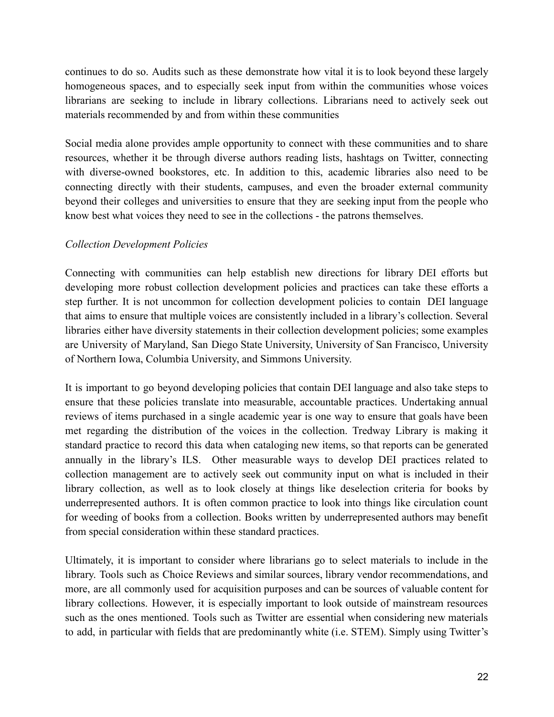continues to do so. Audits such as these demonstrate how vital it is to look beyond these largely homogeneous spaces, and to especially seek input from within the communities whose voices librarians are seeking to include in library collections. Librarians need to actively seek out materials recommended by and from within these communities

Social media alone provides ample opportunity to connect with these communities and to share resources, whether it be through diverse authors reading lists, hashtags on Twitter, connecting with diverse-owned bookstores, etc. In addition to this, academic libraries also need to be connecting directly with their students, campuses, and even the broader external community beyond their colleges and universities to ensure that they are seeking input from the people who know best what voices they need to see in the collections - the patrons themselves.

## *Collection Development Policies*

Connecting with communities can help establish new directions for library DEI efforts but developing more robust collection development policies and practices can take these efforts a step further. It is not uncommon for collection development policies to contain DEI language that aims to ensure that multiple voices are consistently included in a library's collection. Several libraries either have diversity statements in their collection development policies; some examples are University of Maryland, San Diego State University, University of San Francisco, University of Northern Iowa, Columbia University, and Simmons University.

It is important to go beyond developing policies that contain DEI language and also take steps to ensure that these policies translate into measurable, accountable practices. Undertaking annual reviews of items purchased in a single academic year is one way to ensure that goals have been met regarding the distribution of the voices in the collection. Tredway Library is making it standard practice to record this data when cataloging new items, so that reports can be generated annually in the library's ILS. Other measurable ways to develop DEI practices related to collection management are to actively seek out community input on what is included in their library collection, as well as to look closely at things like deselection criteria for books by underrepresented authors. It is often common practice to look into things like circulation count for weeding of books from a collection. Books written by underrepresented authors may benefit from special consideration within these standard practices.

Ultimately, it is important to consider where librarians go to select materials to include in the library. Tools such as Choice Reviews and similar sources, library vendor recommendations, and more, are all commonly used for acquisition purposes and can be sources of valuable content for library collections. However, it is especially important to look outside of mainstream resources such as the ones mentioned. Tools such as Twitter are essential when considering new materials to add, in particular with fields that are predominantly white (i.e. STEM). Simply using Twitter's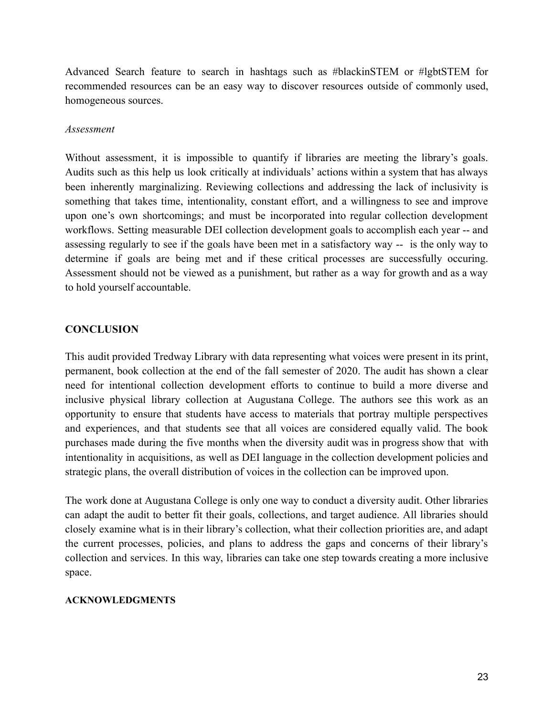Advanced Search feature to search in hashtags such as #blackinSTEM or #lgbtSTEM for recommended resources can be an easy way to discover resources outside of commonly used, homogeneous sources.

#### *Assessment*

Without assessment, it is impossible to quantify if libraries are meeting the library's goals. Audits such as this help us look critically at individuals' actions within a system that has always been inherently marginalizing. Reviewing collections and addressing the lack of inclusivity is something that takes time, intentionality, constant effort, and a willingness to see and improve upon one's own shortcomings; and must be incorporated into regular collection development workflows. Setting measurable DEI collection development goals to accomplish each year -- and assessing regularly to see if the goals have been met in a satisfactory way -- is the only way to determine if goals are being met and if these critical processes are successfully occuring. Assessment should not be viewed as a punishment, but rather as a way for growth and as a way to hold yourself accountable.

#### **CONCLUSION**

This audit provided Tredway Library with data representing what voices were present in its print, permanent, book collection at the end of the fall semester of 2020. The audit has shown a clear need for intentional collection development efforts to continue to build a more diverse and inclusive physical library collection at Augustana College. The authors see this work as an opportunity to ensure that students have access to materials that portray multiple perspectives and experiences, and that students see that all voices are considered equally valid. The book purchases made during the five months when the diversity audit was in progress show that with intentionality in acquisitions, as well as DEI language in the collection development policies and strategic plans, the overall distribution of voices in the collection can be improved upon.

The work done at Augustana College is only one way to conduct a diversity audit. Other libraries can adapt the audit to better fit their goals, collections, and target audience. All libraries should closely examine what is in their library's collection, what their collection priorities are, and adapt the current processes, policies, and plans to address the gaps and concerns of their library's collection and services. In this way, libraries can take one step towards creating a more inclusive space.

#### **ACKNOWLEDGMENTS**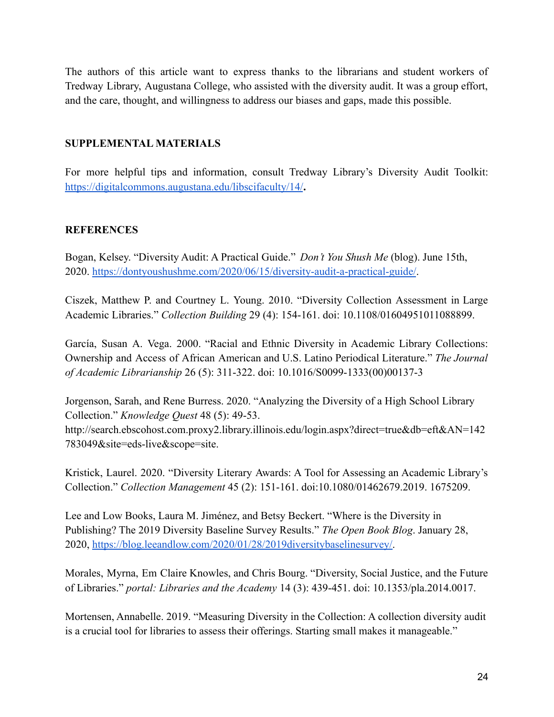The authors of this article want to express thanks to the librarians and student workers of Tredway Library, Augustana College, who assisted with the diversity audit. It was a group effort, and the care, thought, and willingness to address our biases and gaps, made this possible.

# **SUPPLEMENTAL MATERIALS**

For more helpful tips and information, consult Tredway Library's Diversity Audit Toolkit: <https://digitalcommons.augustana.edu/libscifaculty/14/>**.**

#### **REFERENCES**

Bogan, Kelsey. "Diversity Audit: A Practical Guide." *Don't You Shush Me* (blog). June 15th, 2020. <https://dontyoushushme.com/2020/06/15/diversity-audit-a-practical-guide/>.

Ciszek, Matthew P. and Courtney L. Young. 2010. "Diversity Collection Assessment in Large Academic Libraries." *Collection Building* 29 (4): 154-161. doi: 10.1108/01604951011088899.

García, Susan A. Vega. 2000. "Racial and Ethnic Diversity in Academic Library Collections: Ownership and Access of African American and U.S. Latino Periodical Literature." *The Journal of Academic Librarianship* 26 (5): 311-322. doi: 10.1016/S0099-1333(00)00137-3

Jorgenson, Sarah, and Rene Burress. 2020. "Analyzing the Diversity of a High School Library Collection." *Knowledge Quest* 48 (5): 49-53. http://search.ebscohost.com.proxy2.library.illinois.edu/login.aspx?direct=true&db=eft&AN=142 783049&site=eds-live&scope=site.

Kristick, Laurel. 2020. "Diversity Literary Awards: A Tool for Assessing an Academic Library's Collection." *Collection Management* 45 (2): 151-161. doi:10.1080/01462679.2019. 1675209.

Lee and Low Books, Laura M. Jiménez, and Betsy Beckert. "Where is the Diversity in Publishing? The 2019 Diversity Baseline Survey Results." *The Open Book Blog*. January 28, 2020, [https://blog.leeandlow.com/2020/01/28/2019diversitybaselinesurvey/.](https://blog.leeandlow.com/2020/01/28/2019diversitybaselinesurvey/)

Morales, Myrna, Em Claire Knowles, and Chris Bourg. "Diversity, Social Justice, and the Future of Libraries." *portal: Libraries and the Academy* 14 (3): 439-451. doi: 10.1353/pla.2014.0017.

Mortensen, Annabelle. 2019. "Measuring Diversity in the Collection: A collection diversity audit is a crucial tool for libraries to assess their offerings. Starting small makes it manageable."